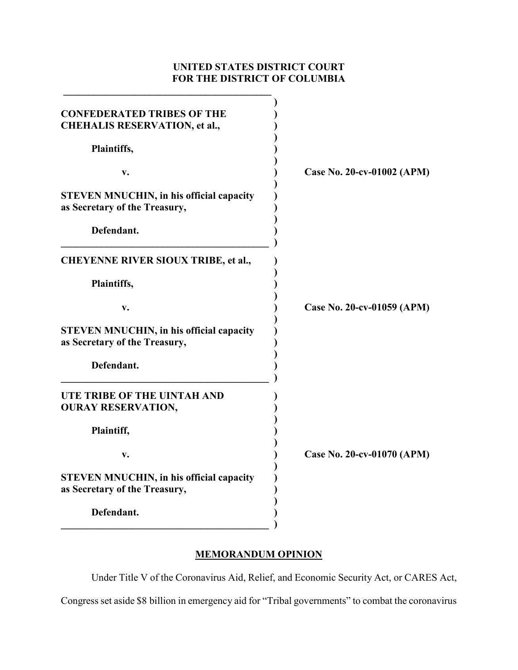# **UNITED STATES DISTRICT COURT FOR THE DISTRICT OF COLUMBIA**

| <b>CONFEDERATED TRIBES OF THE</b><br><b>CHEHALIS RESERVATION, et al.,</b>        |                            |
|----------------------------------------------------------------------------------|----------------------------|
| Plaintiffs,                                                                      |                            |
| v.                                                                               | Case No. 20-cv-01002 (APM) |
| <b>STEVEN MNUCHIN, in his official capacity</b><br>as Secretary of the Treasury, |                            |
| Defendant.                                                                       |                            |
| <b>CHEYENNE RIVER SIOUX TRIBE, et al.,</b>                                       |                            |
| Plaintiffs,                                                                      |                            |
| v.                                                                               | Case No. 20-cv-01059 (APM) |
| <b>STEVEN MNUCHIN, in his official capacity</b><br>as Secretary of the Treasury, |                            |
| Defendant.                                                                       |                            |
| UTE TRIBE OF THE UINTAH AND<br><b>OURAY RESERVATION,</b>                         |                            |
| Plaintiff,                                                                       |                            |
| v.                                                                               | Case No. 20-cv-01070 (APM) |
| <b>STEVEN MNUCHIN, in his official capacity</b><br>as Secretary of the Treasury, |                            |
| Defendant.                                                                       |                            |

# **MEMORANDUM OPINION**

Under Title V of the Coronavirus Aid, Relief, and Economic Security Act, or CARES Act,

Congress set aside \$8 billion in emergency aid for "Tribal governments" to combat the coronavirus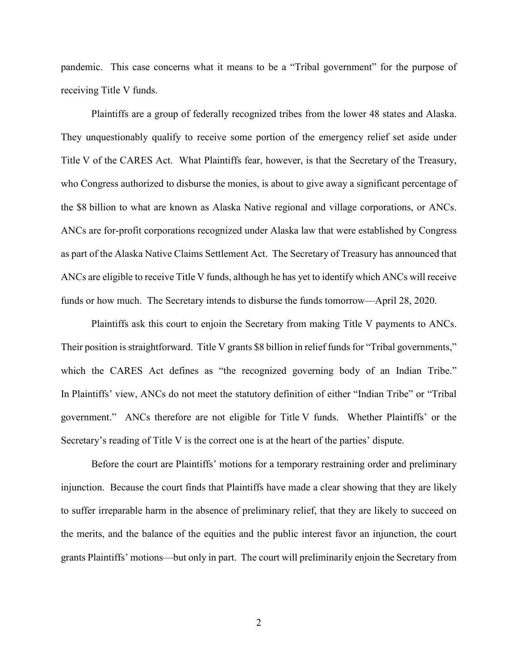pandemic. This case concerns what it means to be a "Tribal government" for the purpose of receiving Title V funds.

Plaintiffs are a group of federally recognized tribes from the lower 48 states and Alaska. They unquestionably qualify to receive some portion of the emergency relief set aside under Title V of the CARES Act. What Plaintiffs fear, however, is that the Secretary of the Treasury, who Congress authorized to disburse the monies, is about to give away a significant percentage of the \$8 billion to what are known as Alaska Native regional and village corporations, or ANCs. ANCs are for-profit corporations recognized under Alaska law that were established by Congress as part of the Alaska Native Claims Settlement Act. The Secretary of Treasury has announced that ANCs are eligible to receive Title V funds, although he has yet to identify which ANCs will receive funds or how much. The Secretary intends to disburse the funds tomorrow—April 28, 2020.

Plaintiffs ask this court to enjoin the Secretary from making Title V payments to ANCs. Their position is straightforward. Title V grants \$8 billion in relief funds for "Tribal governments," which the CARES Act defines as "the recognized governing body of an Indian Tribe." In Plaintiffs' view, ANCs do not meet the statutory definition of either "Indian Tribe" or "Tribal government." ANCs therefore are not eligible for Title V funds. Whether Plaintiffs' or the Secretary's reading of Title V is the correct one is at the heart of the parties' dispute.

Before the court are Plaintiffs' motions for a temporary restraining order and preliminary injunction. Because the court finds that Plaintiffs have made a clear showing that they are likely to suffer irreparable harm in the absence of preliminary relief, that they are likely to succeed on the merits, and the balance of the equities and the public interest favor an injunction, the court grants Plaintiffs' motions—but only in part. The court will preliminarily enjoin the Secretary from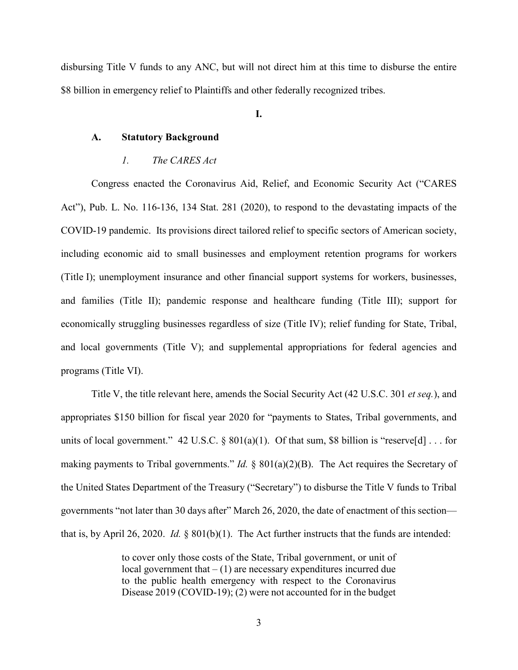disbursing Title V funds to any ANC, but will not direct him at this time to disburse the entire \$8 billion in emergency relief to Plaintiffs and other federally recognized tribes.

**I.**

## **A. Statutory Background**

## *1. The CARES Act*

Congress enacted the Coronavirus Aid, Relief, and Economic Security Act ("CARES Act"), Pub. L. No. 116-136, 134 Stat. 281 (2020), to respond to the devastating impacts of the COVID-19 pandemic. Its provisions direct tailored relief to specific sectors of American society, including economic aid to small businesses and employment retention programs for workers (Title I); unemployment insurance and other financial support systems for workers, businesses, and families (Title II); pandemic response and healthcare funding (Title III); support for economically struggling businesses regardless of size (Title IV); relief funding for State, Tribal, and local governments (Title V); and supplemental appropriations for federal agencies and programs (Title VI).

Title V, the title relevant here, amends the Social Security Act (42 U.S.C. 301 *et seq.*), and appropriates \$150 billion for fiscal year 2020 for "payments to States, Tribal governments, and units of local government." 42 U.S.C. §  $801(a)(1)$ . Of that sum, \$8 billion is "reserve[d] ... for making payments to Tribal governments." *Id.* § 801(a)(2)(B). The Act requires the Secretary of the United States Department of the Treasury ("Secretary") to disburse the Title V funds to Tribal governments "not later than 30 days after" March 26, 2020, the date of enactment of this section that is, by April 26, 2020. *Id.* § 801(b)(1). The Act further instructs that the funds are intended:

> to cover only those costs of the State, Tribal government, or unit of local government that  $- (1)$  are necessary expenditures incurred due to the public health emergency with respect to the Coronavirus Disease 2019 (COVID-19); (2) were not accounted for in the budget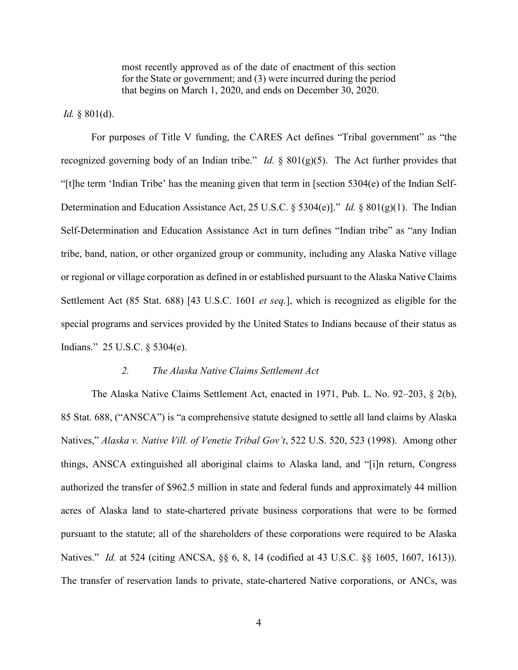most recently approved as of the date of enactment of this section for the State or government; and (3) were incurred during the period that begins on March 1, 2020, and ends on December 30, 2020.

*Id.* § 801(d).

For purposes of Title V funding, the CARES Act defines "Tribal government" as "the recognized governing body of an Indian tribe." *Id.* § 801(g)(5). The Act further provides that "[t]he term 'Indian Tribe' has the meaning given that term in [section 5304(e) of the Indian Self-Determination and Education Assistance Act, 25 U.S.C. § 5304(e)]." *Id.* § 801(g)(1). The Indian Self-Determination and Education Assistance Act in turn defines "Indian tribe" as "any Indian tribe, band, nation, or other organized group or community, including any Alaska Native village or regional or village corporation as defined in or established pursuant to the Alaska Native Claims Settlement Act (85 Stat. 688) [43 U.S.C. 1601 *et seq.*], which is recognized as eligible for the special programs and services provided by the United States to Indians because of their status as Indians." 25 U.S.C. § 5304(e).

#### *2. The Alaska Native Claims Settlement Act*

The Alaska Native Claims Settlement Act, enacted in 1971, Pub. L. No. 92–203, § 2(b), 85 Stat. 688, ("ANSCA") is "a comprehensive statute designed to settle all land claims by Alaska Natives," *Alaska v. Native Vill. of Venetie Tribal Gov't*, 522 U.S. 520, 523 (1998). Among other things, ANSCA extinguished all aboriginal claims to Alaska land, and "[i]n return, Congress authorized the transfer of \$962.5 million in state and federal funds and approximately 44 million acres of Alaska land to state-chartered private business corporations that were to be formed pursuant to the statute; all of the shareholders of these corporations were required to be Alaska Natives." *Id.* at 524 (citing ANCSA, §§ 6, 8, 14 (codified at 43 U.S.C. §§ 1605, 1607, 1613)). The transfer of reservation lands to private, state-chartered Native corporations, or ANCs, was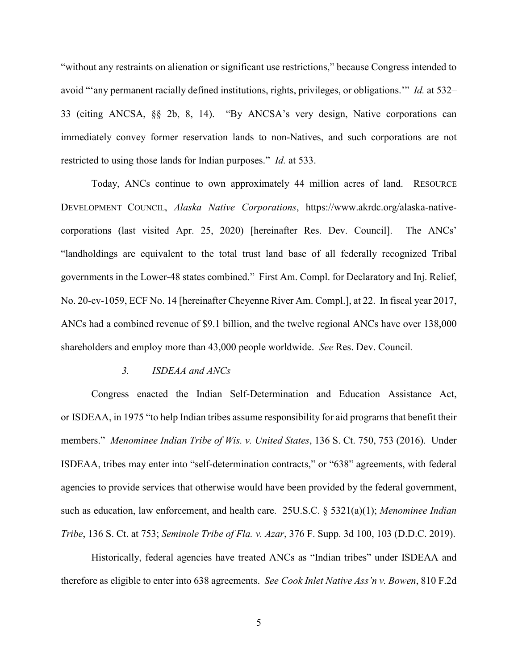"without any restraints on alienation or significant use restrictions," because Congress intended to avoid "'any permanent racially defined institutions, rights, privileges, or obligations.'" *Id.* at 532– 33 (citing ANCSA, §§ 2b, 8, 14). "By ANCSA's very design, Native corporations can immediately convey former reservation lands to non-Natives, and such corporations are not restricted to using those lands for Indian purposes." *Id.* at 533.

Today, ANCs continue to own approximately 44 million acres of land. RESOURCE DEVELOPMENT COUNCIL, *Alaska Native Corporations*, https://www.akrdc.org/alaska-nativecorporations (last visited Apr. 25, 2020) [hereinafter Res. Dev. Council]. The ANCs' "landholdings are equivalent to the total trust land base of all federally recognized Tribal governments in the Lower-48 states combined." First Am. Compl. for Declaratory and Inj. Relief, No. 20-cv-1059, ECF No. 14 [hereinafter Cheyenne River Am. Compl.], at 22. In fiscal year 2017, ANCs had a combined revenue of \$9.1 billion, and the twelve regional ANCs have over 138,000 shareholders and employ more than 43,000 people worldwide. *See* Res. Dev. Council*.* 

#### *3. ISDEAA and ANCs*

Congress enacted the Indian Self-Determination and Education Assistance Act, or ISDEAA, in 1975 "to help Indian tribes assume responsibility for aid programs that benefit their members." *Menominee Indian Tribe of Wis. v. United States*, 136 S. Ct. 750, 753 (2016). Under ISDEAA, tribes may enter into "self-determination contracts," or "638" agreements, with federal agencies to provide services that otherwise would have been provided by the federal government, such as education, law enforcement, and health care. 25U.S.C. § 5321(a)(1); *Menominee Indian Tribe*, 136 S. Ct. at 753; *Seminole Tribe of Fla. v. Azar*, 376 F. Supp. 3d 100, 103 (D.D.C. 2019).

Historically, federal agencies have treated ANCs as "Indian tribes" under ISDEAA and therefore as eligible to enter into 638 agreements. *See Cook Inlet Native Ass'n v. Bowen*, 810 F.2d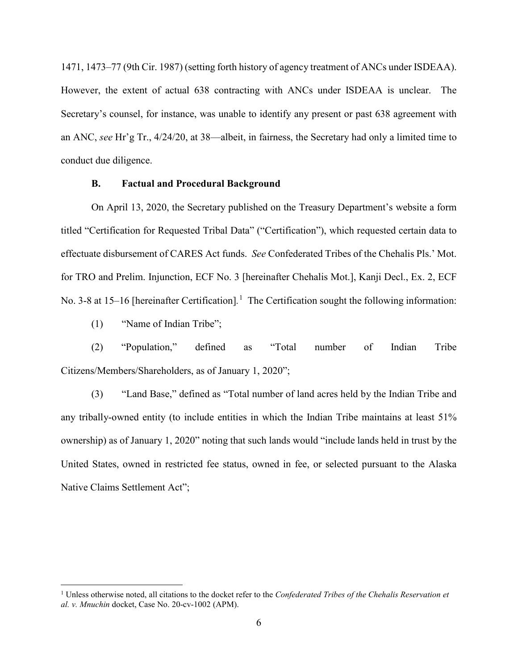1471, 1473–77 (9th Cir. 1987) (setting forth history of agency treatment of ANCs under ISDEAA). However, the extent of actual 638 contracting with ANCs under ISDEAA is unclear. The Secretary's counsel, for instance, was unable to identify any present or past 638 agreement with an ANC, *see* Hr'g Tr., 4/24/20, at 38—albeit, in fairness, the Secretary had only a limited time to conduct due diligence.

## **B. Factual and Procedural Background**

On April 13, 2020, the Secretary published on the Treasury Department's website a form titled "Certification for Requested Tribal Data" ("Certification"), which requested certain data to effectuate disbursement of CARES Act funds. *See* Confederated Tribes of the Chehalis Pls.' Mot. for TRO and Prelim. Injunction, ECF No. 3 [hereinafter Chehalis Mot.], Kanji Decl., Ex. 2, ECF No. 3-8 at 15–16 [hereinafter Certification].<sup>1</sup> The Certification sought the following information:

(1) "Name of Indian Tribe";

l

(2) "Population," defined as "Total number of Indian Tribe Citizens/Members/Shareholders, as of January 1, 2020";

(3) "Land Base," defined as "Total number of land acres held by the Indian Tribe and any tribally-owned entity (to include entities in which the Indian Tribe maintains at least 51% ownership) as of January 1, 2020" noting that such lands would "include lands held in trust by the United States, owned in restricted fee status, owned in fee, or selected pursuant to the Alaska Native Claims Settlement Act";

<sup>&</sup>lt;sup>1</sup> Unless otherwise noted, all citations to the docket refer to the *Confederated Tribes of the Chehalis Reservation et al. v. Mnuchin* docket, Case No. 20-cv-1002 (APM).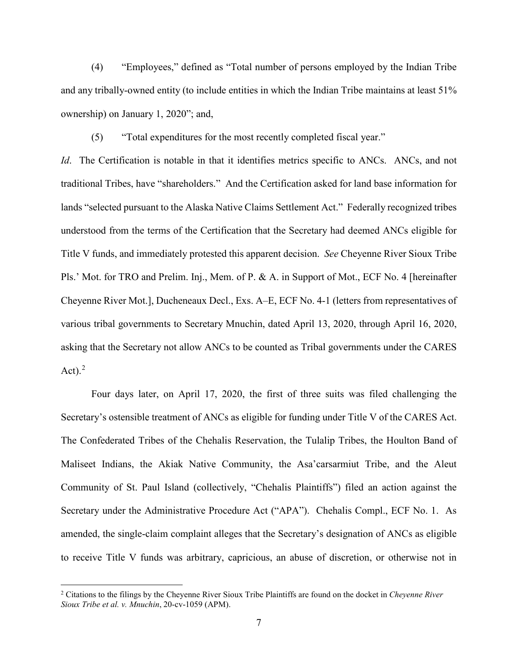(4) "Employees," defined as "Total number of persons employed by the Indian Tribe and any tribally-owned entity (to include entities in which the Indian Tribe maintains at least 51% ownership) on January 1, 2020"; and,

(5) "Total expenditures for the most recently completed fiscal year."

*Id*. The Certification is notable in that it identifies metrics specific to ANCs. ANCs, and not traditional Tribes, have "shareholders." And the Certification asked for land base information for lands "selected pursuant to the Alaska Native Claims Settlement Act." Federally recognized tribes understood from the terms of the Certification that the Secretary had deemed ANCs eligible for Title V funds, and immediately protested this apparent decision. *See* Cheyenne River Sioux Tribe Pls.' Mot. for TRO and Prelim. Inj., Mem. of P. & A. in Support of Mot., ECF No. 4 [hereinafter Cheyenne River Mot.], Ducheneaux Decl., Exs. A–E, ECF No. 4-1 (letters from representatives of various tribal governments to Secretary Mnuchin, dated April 13, 2020, through April 16, 2020, asking that the Secretary not allow ANCs to be counted as Tribal governments under the CARES Act). $^{2}$ 

Four days later, on April 17, 2020, the first of three suits was filed challenging the Secretary's ostensible treatment of ANCs as eligible for funding under Title V of the CARES Act. The Confederated Tribes of the Chehalis Reservation, the Tulalip Tribes, the Houlton Band of Maliseet Indians, the Akiak Native Community, the Asa'carsarmiut Tribe, and the Aleut Community of St. Paul Island (collectively, "Chehalis Plaintiffs") filed an action against the Secretary under the Administrative Procedure Act ("APA"). Chehalis Compl., ECF No. 1. As amended, the single-claim complaint alleges that the Secretary's designation of ANCs as eligible to receive Title V funds was arbitrary, capricious, an abuse of discretion, or otherwise not in

<sup>2</sup> Citations to the filings by the Cheyenne River Sioux Tribe Plaintiffs are found on the docket in *Cheyenne River Sioux Tribe et al. v. Mnuchin*, 20-cv-1059 (APM).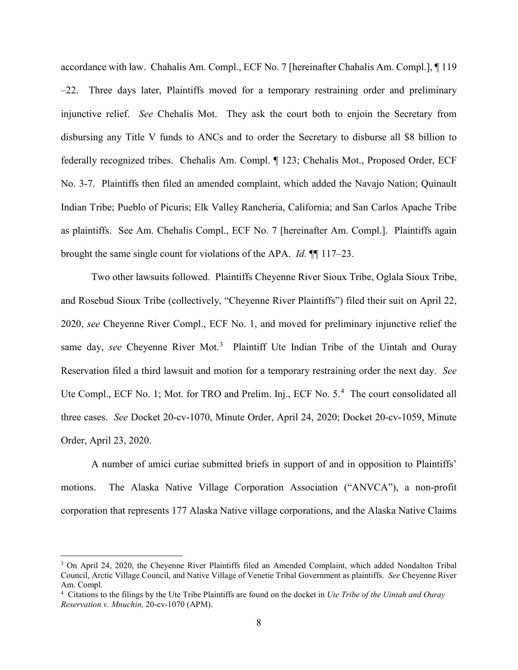accordance with law. Chahalis Am. Compl., ECF No. 7 [hereinafter Chahalis Am. Compl.], ¶ 119 –22. Three days later, Plaintiffs moved for a temporary restraining order and preliminary injunctive relief. *See* Chehalis Mot. They ask the court both to enjoin the Secretary from disbursing any Title V funds to ANCs and to order the Secretary to disburse all \$8 billion to federally recognized tribes. Chehalis Am. Compl. ¶ 123; Chehalis Mot., Proposed Order, ECF No. 3-7. Plaintiffs then filed an amended complaint, which added the Navajo Nation; Quinault Indian Tribe; Pueblo of Picuris; Elk Valley Rancheria, California; and San Carlos Apache Tribe as plaintiffs. See Am. Chehalis Compl., ECF No. 7 [hereinafter Am. Compl.]. Plaintiffs again brought the same single count for violations of the APA. *Id.* ¶¶ 117–23.

Two other lawsuits followed. Plaintiffs Cheyenne River Sioux Tribe, Oglala Sioux Tribe, and Rosebud Sioux Tribe (collectively, "Cheyenne River Plaintiffs") filed their suit on April 22, 2020, *see* Cheyenne River Compl., ECF No. 1, and moved for preliminary injunctive relief the same day, see Cheyenne River Mot.<sup>3</sup> Plaintiff Ute Indian Tribe of the Uintah and Ouray Reservation filed a third lawsuit and motion for a temporary restraining order the next day. *See* Ute Compl., ECF No. 1; Mot. for TRO and Prelim. Inj., ECF No. 5.<sup>4</sup> The court consolidated all three cases. *See* Docket 20-cv-1070, Minute Order, April 24, 2020; Docket 20-cv-1059, Minute Order, April 23, 2020.

A number of amici curiae submitted briefs in support of and in opposition to Plaintiffs' motions. The Alaska Native Village Corporation Association ("ANVCA"), a non-profit corporation that represents 177 Alaska Native village corporations, and the Alaska Native Claims

 $\overline{\phantom{a}}$ 

<sup>&</sup>lt;sup>3</sup> On April 24, 2020, the Cheyenne River Plaintiffs filed an Amended Complaint, which added Nondalton Tribal Council, Arctic Village Council, and Native Village of Venetie Tribal Government as plaintiffs. *See* Cheyenne River Am. Compl.

<sup>4</sup> Citations to the filings by the Ute Tribe Plaintiffs are found on the docket in *Ute Tribe of the Uintah and Ouray Reservation v. Mnuchin,* 20-cv-1070 (APM).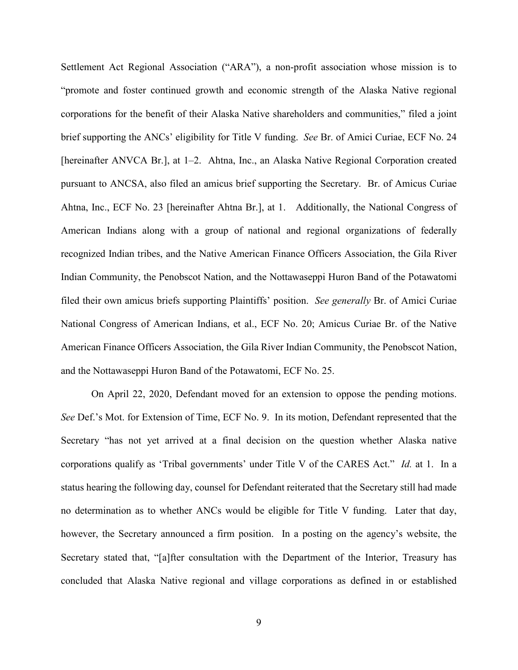Settlement Act Regional Association ("ARA"), a non-profit association whose mission is to "promote and foster continued growth and economic strength of the Alaska Native regional corporations for the benefit of their Alaska Native shareholders and communities," filed a joint brief supporting the ANCs' eligibility for Title V funding. *See* Br. of Amici Curiae, ECF No. 24 [hereinafter ANVCA Br.], at 1–2. Ahtna, Inc., an Alaska Native Regional Corporation created pursuant to ANCSA, also filed an amicus brief supporting the Secretary. Br. of Amicus Curiae Ahtna, Inc., ECF No. 23 [hereinafter Ahtna Br.], at 1. Additionally, the National Congress of American Indians along with a group of national and regional organizations of federally recognized Indian tribes, and the Native American Finance Officers Association, the Gila River Indian Community, the Penobscot Nation, and the Nottawaseppi Huron Band of the Potawatomi filed their own amicus briefs supporting Plaintiffs' position. *See generally* Br. of Amici Curiae National Congress of American Indians, et al., ECF No. 20; Amicus Curiae Br. of the Native American Finance Officers Association, the Gila River Indian Community, the Penobscot Nation, and the Nottawaseppi Huron Band of the Potawatomi, ECF No. 25.

On April 22, 2020, Defendant moved for an extension to oppose the pending motions. *See* Def.'s Mot. for Extension of Time, ECF No. 9. In its motion, Defendant represented that the Secretary "has not yet arrived at a final decision on the question whether Alaska native corporations qualify as 'Tribal governments' under Title V of the CARES Act." *Id.* at 1. In a status hearing the following day, counsel for Defendant reiterated that the Secretary still had made no determination as to whether ANCs would be eligible for Title V funding. Later that day, however, the Secretary announced a firm position. In a posting on the agency's website, the Secretary stated that, "[a]fter consultation with the Department of the Interior, Treasury has concluded that Alaska Native regional and village corporations as defined in or established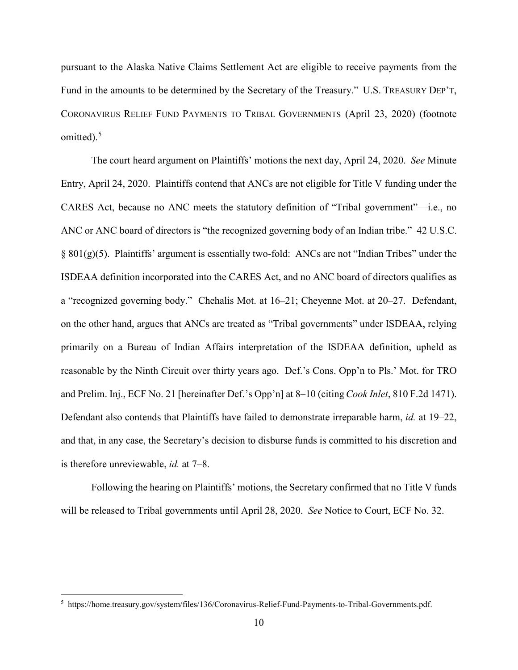pursuant to the Alaska Native Claims Settlement Act are eligible to receive payments from the Fund in the amounts to be determined by the Secretary of the Treasury." U.S. TREASURY DEP'T, CORONAVIRUS RELIEF FUND PAYMENTS TO TRIBAL GOVERNMENTS (April 23, 2020) (footnote omitted).<sup>5</sup>

The court heard argument on Plaintiffs' motions the next day, April 24, 2020. *See* Minute Entry, April 24, 2020. Plaintiffs contend that ANCs are not eligible for Title V funding under the CARES Act, because no ANC meets the statutory definition of "Tribal government"—i.e., no ANC or ANC board of directors is "the recognized governing body of an Indian tribe." 42 U.S.C.  $§ 801(g)(5)$ . Plaintiffs' argument is essentially two-fold: ANCs are not "Indian Tribes" under the ISDEAA definition incorporated into the CARES Act, and no ANC board of directors qualifies as a "recognized governing body." Chehalis Mot. at 16–21; Cheyenne Mot. at 20–27. Defendant, on the other hand, argues that ANCs are treated as "Tribal governments" under ISDEAA, relying primarily on a Bureau of Indian Affairs interpretation of the ISDEAA definition, upheld as reasonable by the Ninth Circuit over thirty years ago. Def.'s Cons. Opp'n to Pls.' Mot. for TRO and Prelim. Inj., ECF No. 21 [hereinafter Def.'s Opp'n] at 8–10 (citing*Cook Inlet*, 810 F.2d 1471). Defendant also contends that Plaintiffs have failed to demonstrate irreparable harm, *id.* at 19–22, and that, in any case, the Secretary's decision to disburse funds is committed to his discretion and is therefore unreviewable, *id.* at 7–8.

Following the hearing on Plaintiffs' motions, the Secretary confirmed that no Title V funds will be released to Tribal governments until April 28, 2020. *See* Notice to Court, ECF No. 32.

<sup>5</sup> https://home.treasury.gov/system/files/136/Coronavirus-Relief-Fund-Payments-to-Tribal-Governments.pdf.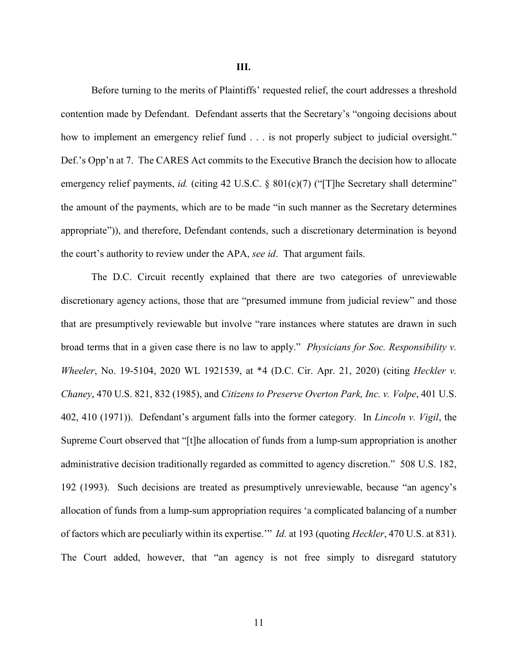Before turning to the merits of Plaintiffs' requested relief, the court addresses a threshold contention made by Defendant. Defendant asserts that the Secretary's "ongoing decisions about how to implement an emergency relief fund . . . is not properly subject to judicial oversight." Def.'s Opp'n at 7. The CARES Act commits to the Executive Branch the decision how to allocate emergency relief payments, *id.* (citing 42 U.S.C. § 801(c)(7) ("[T]he Secretary shall determine" the amount of the payments, which are to be made "in such manner as the Secretary determines appropriate")), and therefore, Defendant contends, such a discretionary determination is beyond the court's authority to review under the APA, *see id*. That argument fails.

The D.C. Circuit recently explained that there are two categories of unreviewable discretionary agency actions, those that are "presumed immune from judicial review" and those that are presumptively reviewable but involve "rare instances where statutes are drawn in such broad terms that in a given case there is no law to apply." *Physicians for Soc. Responsibility v. Wheeler*, No. 19-5104, 2020 WL 1921539, at \*4 (D.C. Cir. Apr. 21, 2020) (citing *Heckler v. Chaney*, 470 U.S. 821, 832 (1985), and *Citizens to Preserve Overton Park, Inc. v. Volpe*, 401 U.S. 402, 410 (1971)). Defendant's argument falls into the former category. In *Lincoln v. Vigil*, the Supreme Court observed that "[t]he allocation of funds from a lump-sum appropriation is another administrative decision traditionally regarded as committed to agency discretion." 508 U.S. 182, 192 (1993). Such decisions are treated as presumptively unreviewable, because "an agency's allocation of funds from a lump-sum appropriation requires 'a complicated balancing of a number of factors which are peculiarly within its expertise.'" *Id.* at 193 (quoting *Heckler*, 470 U.S. at 831). The Court added, however, that "an agency is not free simply to disregard statutory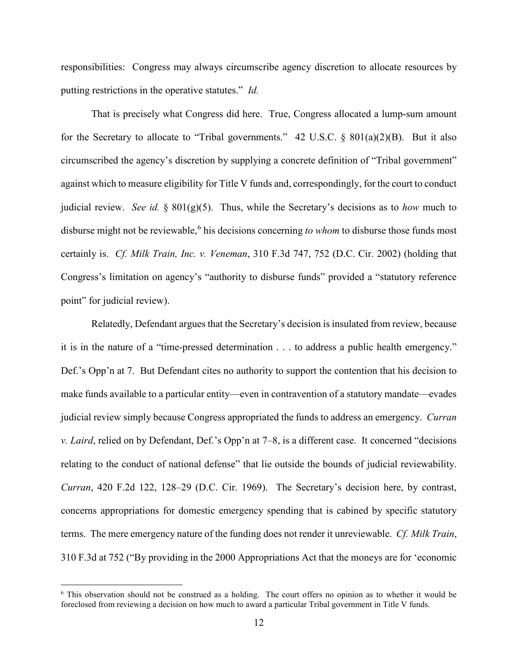responsibilities: Congress may always circumscribe agency discretion to allocate resources by putting restrictions in the operative statutes." *Id.* 

That is precisely what Congress did here. True, Congress allocated a lump-sum amount for the Secretary to allocate to "Tribal governments." 42 U.S.C.  $\S$  801(a)(2)(B). But it also circumscribed the agency's discretion by supplying a concrete definition of "Tribal government" against which to measure eligibility for Title V funds and, correspondingly, for the court to conduct judicial review. *See id.* § 801(g)(5). Thus, while the Secretary's decisions as to *how* much to disburse might not be reviewable,<sup>6</sup> his decisions concerning *to whom* to disburse those funds most certainly is. *Cf. Milk Train, Inc. v. Veneman*, 310 F.3d 747, 752 (D.C. Cir. 2002) (holding that Congress's limitation on agency's "authority to disburse funds" provided a "statutory reference point" for judicial review).

Relatedly, Defendant argues that the Secretary's decision is insulated from review, because it is in the nature of a "time-pressed determination . . . to address a public health emergency." Def.'s Opp'n at 7. But Defendant cites no authority to support the contention that his decision to make funds available to a particular entity—even in contravention of a statutory mandate—evades judicial review simply because Congress appropriated the funds to address an emergency. *Curran v. Laird*, relied on by Defendant, Def.'s Opp'n at 7–8, is a different case. It concerned "decisions relating to the conduct of national defense" that lie outside the bounds of judicial reviewability. *Curran*, 420 F.2d 122, 128–29 (D.C. Cir. 1969). The Secretary's decision here, by contrast, concerns appropriations for domestic emergency spending that is cabined by specific statutory terms. The mere emergency nature of the funding does not render it unreviewable. *Cf. Milk Train*, 310 F.3d at 752 ("By providing in the 2000 Appropriations Act that the moneys are for 'economic

<sup>6</sup> This observation should not be construed as a holding. The court offers no opinion as to whether it would be foreclosed from reviewing a decision on how much to award a particular Tribal government in Title V funds.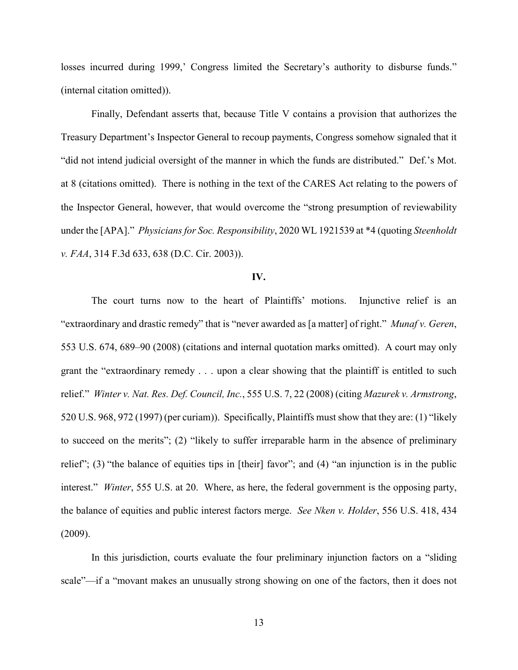losses incurred during 1999,' Congress limited the Secretary's authority to disburse funds." (internal citation omitted)).

Finally, Defendant asserts that, because Title V contains a provision that authorizes the Treasury Department's Inspector General to recoup payments, Congress somehow signaled that it "did not intend judicial oversight of the manner in which the funds are distributed." Def.'s Mot. at 8 (citations omitted). There is nothing in the text of the CARES Act relating to the powers of the Inspector General, however, that would overcome the "strong presumption of reviewability under the [APA]." *Physicians for Soc. Responsibility*, 2020 WL 1921539 at \*4 (quoting *Steenholdt v. FAA*, 314 F.3d 633, 638 (D.C. Cir. 2003)).

#### **IV.**

The court turns now to the heart of Plaintiffs' motions. Injunctive relief is an "extraordinary and drastic remedy" that is "never awarded as [a matter] of right." *Munaf v. Geren*, 553 U.S. 674, 689–90 (2008) (citations and internal quotation marks omitted). A court may only grant the "extraordinary remedy . . . upon a clear showing that the plaintiff is entitled to such relief." *Winter v. Nat. Res. Def. Council, Inc.*, 555 U.S. 7, 22 (2008) (citing *Mazurek v. Armstrong*, 520 U.S. 968, 972 (1997) (per curiam)). Specifically, Plaintiffs must show that they are: (1) "likely to succeed on the merits"; (2) "likely to suffer irreparable harm in the absence of preliminary relief"; (3) "the balance of equities tips in [their] favor"; and (4) "an injunction is in the public interest." *Winter*, 555 U.S. at 20. Where, as here, the federal government is the opposing party, the balance of equities and public interest factors merge. *See Nken v. Holder*, 556 U.S. 418, 434 (2009).

In this jurisdiction, courts evaluate the four preliminary injunction factors on a "sliding scale"—if a "movant makes an unusually strong showing on one of the factors, then it does not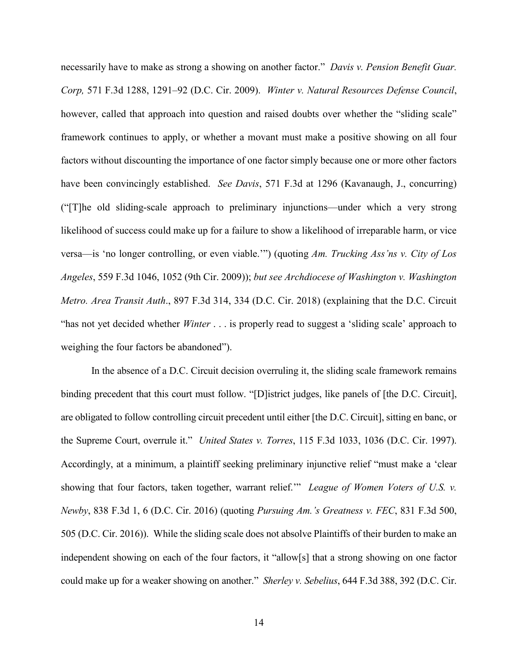necessarily have to make as strong a showing on another factor." *Davis v. Pension Benefit Guar. Corp,* 571 F.3d 1288, 1291–92 (D.C. Cir. 2009). *Winter v. Natural Resources Defense Council*, however, called that approach into question and raised doubts over whether the "sliding scale" framework continues to apply, or whether a movant must make a positive showing on all four factors without discounting the importance of one factor simply because one or more other factors have been convincingly established. *See Davis*, 571 F.3d at 1296 (Kavanaugh, J., concurring) ("[T]he old sliding-scale approach to preliminary injunctions—under which a very strong likelihood of success could make up for a failure to show a likelihood of irreparable harm, or vice versa—is 'no longer controlling, or even viable.'") (quoting *Am. Trucking Ass'ns v. City of Los Angeles*, 559 F.3d 1046, 1052 (9th Cir. 2009)); *but see Archdiocese of Washington v. Washington Metro. Area Transit Auth*., 897 F.3d 314, 334 (D.C. Cir. 2018) (explaining that the D.C. Circuit "has not yet decided whether *Winter* . . . is properly read to suggest a 'sliding scale' approach to weighing the four factors be abandoned").

In the absence of a D.C. Circuit decision overruling it, the sliding scale framework remains binding precedent that this court must follow. "[D]istrict judges, like panels of [the D.C. Circuit], are obligated to follow controlling circuit precedent until either [the D.C. Circuit], sitting en banc, or the Supreme Court, overrule it." *United States v. Torres*, 115 F.3d 1033, 1036 (D.C. Cir. 1997). Accordingly, at a minimum, a plaintiff seeking preliminary injunctive relief "must make a 'clear showing that four factors, taken together, warrant relief." *League of Women Voters of U.S. v. Newby*, 838 F.3d 1, 6 (D.C. Cir. 2016) (quoting *Pursuing Am.'s Greatness v. FEC*, 831 F.3d 500, 505 (D.C. Cir. 2016)). While the sliding scale does not absolve Plaintiffs of their burden to make an independent showing on each of the four factors, it "allow[s] that a strong showing on one factor could make up for a weaker showing on another." *Sherley v. Sebelius*, 644 F.3d 388, 392 (D.C. Cir.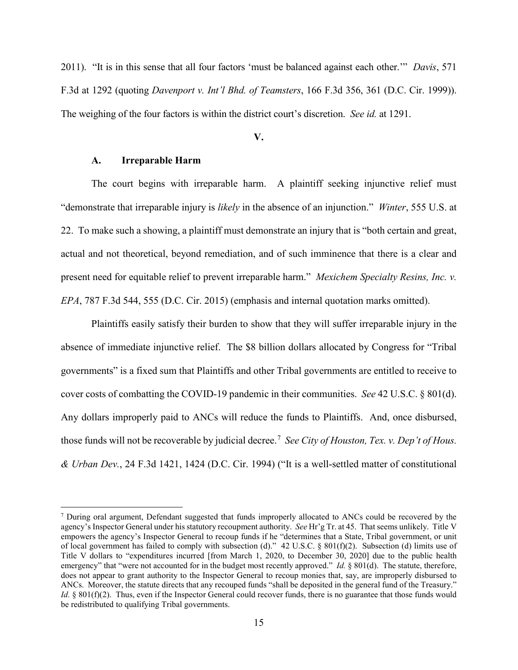2011). "It is in this sense that all four factors 'must be balanced against each other.'" *Davis*, 571 F.3d at 1292 (quoting *Davenport v. Int'l Bhd. of Teamsters*, 166 F.3d 356, 361 (D.C. Cir. 1999)). The weighing of the four factors is within the district court's discretion. *See id.* at 1291.

**V.**

## **A. Irreparable Harm**

l

The court begins with irreparable harm. A plaintiff seeking injunctive relief must "demonstrate that irreparable injury is *likely* in the absence of an injunction." *Winter*, 555 U.S. at 22. To make such a showing, a plaintiff must demonstrate an injury that is "both certain and great, actual and not theoretical, beyond remediation, and of such imminence that there is a clear and present need for equitable relief to prevent irreparable harm." *Mexichem Specialty Resins, Inc. v. EPA*, 787 F.3d 544, 555 (D.C. Cir. 2015) (emphasis and internal quotation marks omitted).

Plaintiffs easily satisfy their burden to show that they will suffer irreparable injury in the absence of immediate injunctive relief. The \$8 billion dollars allocated by Congress for "Tribal governments" is a fixed sum that Plaintiffs and other Tribal governments are entitled to receive to cover costs of combatting the COVID-19 pandemic in their communities. *See* 42 U.S.C. § 801(d). Any dollars improperly paid to ANCs will reduce the funds to Plaintiffs. And, once disbursed, those funds will not be recoverable by judicial decree.<sup>7</sup> *See City of Houston, Tex. v. Dep't of Hous. & Urban Dev.*, 24 F.3d 1421, 1424 (D.C. Cir. 1994) ("It is a well-settled matter of constitutional

<sup>7</sup> During oral argument, Defendant suggested that funds improperly allocated to ANCs could be recovered by the agency's Inspector General under his statutory recoupment authority. *See* Hr'g Tr. at 45. That seems unlikely. Title V empowers the agency's Inspector General to recoup funds if he "determines that a State, Tribal government, or unit of local government has failed to comply with subsection (d)." 42 U.S.C. § 801(f)(2). Subsection (d) limits use of Title V dollars to "expenditures incurred [from March 1, 2020, to December 30, 2020] due to the public health emergency" that "were not accounted for in the budget most recently approved." *Id.* § 801(d). The statute, therefore, does not appear to grant authority to the Inspector General to recoup monies that, say, are improperly disbursed to ANCs. Moreover, the statute directs that any recouped funds "shall be deposited in the general fund of the Treasury." *Id.* § 801(f)(2). Thus, even if the Inspector General could recover funds, there is no guarantee that those funds would be redistributed to qualifying Tribal governments.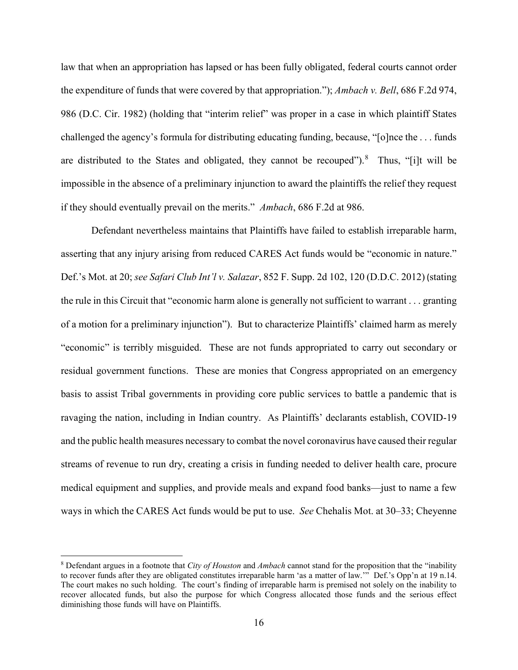law that when an appropriation has lapsed or has been fully obligated, federal courts cannot order the expenditure of funds that were covered by that appropriation."); *Ambach v. Bell*, 686 F.2d 974, 986 (D.C. Cir. 1982) (holding that "interim relief" was proper in a case in which plaintiff States challenged the agency's formula for distributing educating funding, because, "[o]nce the . . . funds are distributed to the States and obligated, they cannot be recouped"). $8$  Thus, "[i]t will be impossible in the absence of a preliminary injunction to award the plaintiffs the relief they request if they should eventually prevail on the merits." *Ambach*, 686 F.2d at 986.

Defendant nevertheless maintains that Plaintiffs have failed to establish irreparable harm, asserting that any injury arising from reduced CARES Act funds would be "economic in nature." Def.'s Mot. at 20; *see Safari Club Int'l v. Salazar*, 852 F. Supp. 2d 102, 120 (D.D.C. 2012) (stating the rule in this Circuit that "economic harm alone is generally not sufficient to warrant . . . granting of a motion for a preliminary injunction"). But to characterize Plaintiffs' claimed harm as merely "economic" is terribly misguided. These are not funds appropriated to carry out secondary or residual government functions. These are monies that Congress appropriated on an emergency basis to assist Tribal governments in providing core public services to battle a pandemic that is ravaging the nation, including in Indian country. As Plaintiffs' declarants establish, COVID-19 and the public health measures necessary to combat the novel coronavirus have caused their regular streams of revenue to run dry, creating a crisis in funding needed to deliver health care, procure medical equipment and supplies, and provide meals and expand food banks—just to name a few ways in which the CARES Act funds would be put to use. *See* Chehalis Mot. at 30–33; Cheyenne

 $\overline{\phantom{a}}$ 

<sup>8</sup> Defendant argues in a footnote that *City of Houston* and *Ambach* cannot stand for the proposition that the "inability to recover funds after they are obligated constitutes irreparable harm 'as a matter of law.'" Def.'s Opp'n at 19 n.14. The court makes no such holding. The court's finding of irreparable harm is premised not solely on the inability to recover allocated funds, but also the purpose for which Congress allocated those funds and the serious effect diminishing those funds will have on Plaintiffs.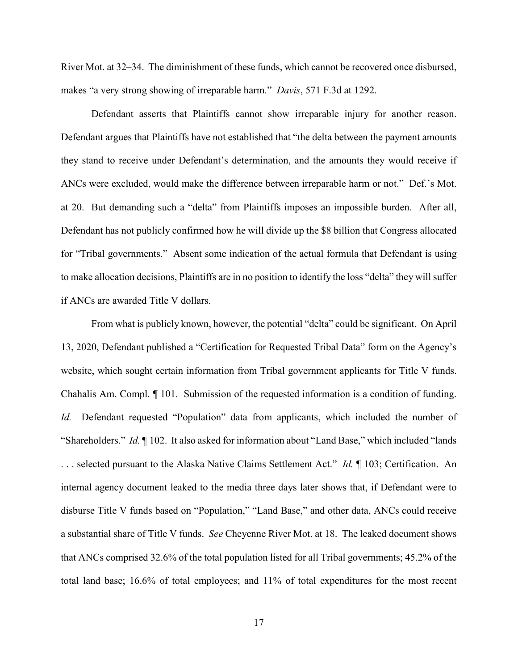River Mot. at 32–34. The diminishment of these funds, which cannot be recovered once disbursed, makes "a very strong showing of irreparable harm." *Davis*, 571 F.3d at 1292.

Defendant asserts that Plaintiffs cannot show irreparable injury for another reason. Defendant argues that Plaintiffs have not established that "the delta between the payment amounts they stand to receive under Defendant's determination, and the amounts they would receive if ANCs were excluded, would make the difference between irreparable harm or not." Def.'s Mot. at 20. But demanding such a "delta" from Plaintiffs imposes an impossible burden. After all, Defendant has not publicly confirmed how he will divide up the \$8 billion that Congress allocated for "Tribal governments." Absent some indication of the actual formula that Defendant is using to make allocation decisions, Plaintiffs are in no position to identify the loss "delta" they will suffer if ANCs are awarded Title V dollars.

From what is publicly known, however, the potential "delta" could be significant. On April 13, 2020, Defendant published a "Certification for Requested Tribal Data" form on the Agency's website, which sought certain information from Tribal government applicants for Title V funds. Chahalis Am. Compl. ¶ 101. Submission of the requested information is a condition of funding. *Id.* Defendant requested "Population" data from applicants, which included the number of "Shareholders." *Id.* ¶ 102. It also asked for information about "Land Base," which included "lands . . . selected pursuant to the Alaska Native Claims Settlement Act." *Id.* ¶ 103; Certification. An internal agency document leaked to the media three days later shows that, if Defendant were to disburse Title V funds based on "Population," "Land Base," and other data, ANCs could receive a substantial share of Title V funds. *See* Cheyenne River Mot. at 18. The leaked document shows that ANCs comprised 32.6% of the total population listed for all Tribal governments; 45.2% of the total land base; 16.6% of total employees; and 11% of total expenditures for the most recent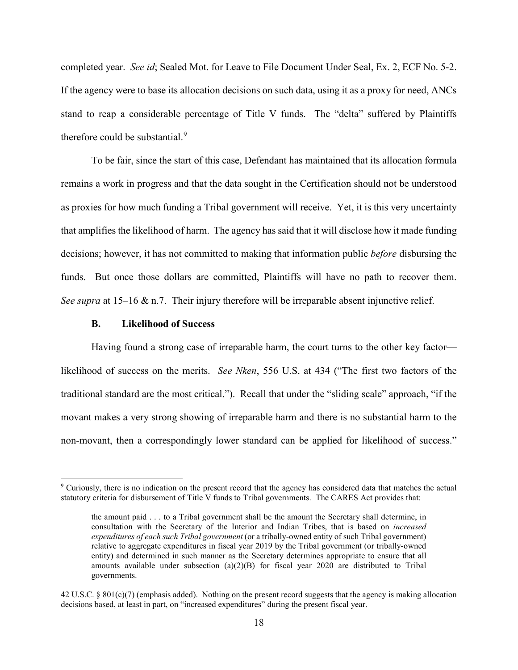completed year. *See id*; Sealed Mot. for Leave to File Document Under Seal, Ex. 2, ECF No. 5-2. If the agency were to base its allocation decisions on such data, using it as a proxy for need, ANCs stand to reap a considerable percentage of Title V funds. The "delta" suffered by Plaintiffs therefore could be substantial.<sup>9</sup>

To be fair, since the start of this case, Defendant has maintained that its allocation formula remains a work in progress and that the data sought in the Certification should not be understood as proxies for how much funding a Tribal government will receive. Yet, it is this very uncertainty that amplifies the likelihood of harm. The agency has said that it will disclose how it made funding decisions; however, it has not committed to making that information public *before* disbursing the funds. But once those dollars are committed, Plaintiffs will have no path to recover them. *See supra* at 15–16 & n.7. Their injury therefore will be irreparable absent injunctive relief.

#### **B. Likelihood of Success**

l

Having found a strong case of irreparable harm, the court turns to the other key factor likelihood of success on the merits. *See Nken*, 556 U.S. at 434 ("The first two factors of the traditional standard are the most critical.").Recall that under the "sliding scale" approach, "if the movant makes a very strong showing of irreparable harm and there is no substantial harm to the non-movant, then a correspondingly lower standard can be applied for likelihood of success."

<sup>9</sup> Curiously, there is no indication on the present record that the agency has considered data that matches the actual statutory criteria for disbursement of Title V funds to Tribal governments. The CARES Act provides that:

the amount paid . . . to a Tribal government shall be the amount the Secretary shall determine, in consultation with the Secretary of the Interior and Indian Tribes, that is based on *increased expenditures of each such Tribal government* (or a tribally-owned entity of such Tribal government) relative to aggregate expenditures in fiscal year 2019 by the Tribal government (or tribally-owned entity) and determined in such manner as the Secretary determines appropriate to ensure that all amounts available under subsection  $(a)(2)(B)$  for fiscal year 2020 are distributed to Tribal governments.

<sup>42</sup> U.S.C. § 801(c)(7) (emphasis added). Nothing on the present record suggests that the agency is making allocation decisions based, at least in part, on "increased expenditures" during the present fiscal year.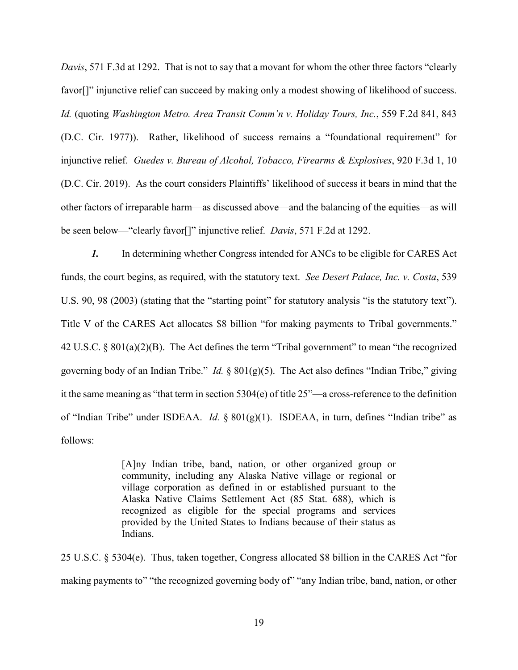*Davis*, 571 F.3d at 1292. That is not to say that a movant for whom the other three factors "clearly favor[]" injunctive relief can succeed by making only a modest showing of likelihood of success. *Id.* (quoting *Washington Metro. Area Transit Comm'n v. Holiday Tours, Inc.*, 559 F.2d 841, 843 (D.C. Cir. 1977)).Rather, likelihood of success remains a "foundational requirement" for injunctive relief. *Guedes v. Bureau of Alcohol, Tobacco, Firearms & Explosives*, 920 F.3d 1, 10 (D.C. Cir. 2019). As the court considers Plaintiffs' likelihood of success it bears in mind that the other factors of irreparable harm—as discussed above—and the balancing of the equities—as will be seen below—"clearly favor[]" injunctive relief. *Davis*, 571 F.2d at 1292.

*1.* In determining whether Congress intended for ANCs to be eligible for CARES Act funds, the court begins, as required, with the statutory text. *See Desert Palace, Inc. v. Costa*, 539 U.S. 90, 98 (2003) (stating that the "starting point" for statutory analysis "is the statutory text"). Title V of the CARES Act allocates \$8 billion "for making payments to Tribal governments." 42 U.S.C. § 801(a)(2)(B). The Act defines the term "Tribal government" to mean "the recognized governing body of an Indian Tribe." *Id.* § 801(g)(5). The Act also defines "Indian Tribe," giving it the same meaning as "that term in section 5304(e) of title 25"—a cross-reference to the definition of "Indian Tribe" under ISDEAA. *Id.* § 801(g)(1). ISDEAA, in turn, defines "Indian tribe" as follows:

> [A]ny Indian tribe, band, nation, or other organized group or community, including any Alaska Native village or regional or village corporation as defined in or established pursuant to the Alaska Native Claims Settlement Act (85 Stat. 688), which is recognized as eligible for the special programs and services provided by the United States to Indians because of their status as Indians.

25 U.S.C. § 5304(e). Thus, taken together, Congress allocated \$8 billion in the CARES Act "for making payments to" "the recognized governing body of" "any Indian tribe, band, nation, or other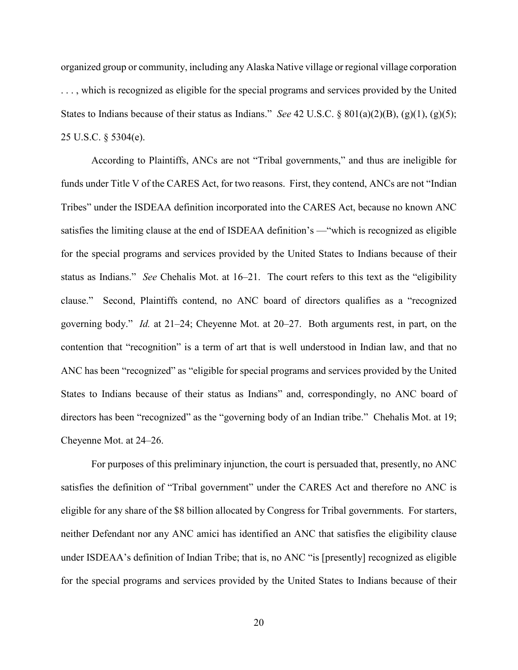organized group or community, including any Alaska Native village or regional village corporation . . . , which is recognized as eligible for the special programs and services provided by the United States to Indians because of their status as Indians." *See* 42 U.S.C. § 801(a)(2)(B), (g)(1), (g)(5); 25 U.S.C. § 5304(e).

According to Plaintiffs, ANCs are not "Tribal governments," and thus are ineligible for funds under Title V of the CARES Act, for two reasons. First, they contend, ANCs are not "Indian Tribes" under the ISDEAA definition incorporated into the CARES Act, because no known ANC satisfies the limiting clause at the end of ISDEAA definition's —"which is recognized as eligible for the special programs and services provided by the United States to Indians because of their status as Indians." *See* Chehalis Mot. at 16–21. The court refers to this text as the "eligibility clause." Second, Plaintiffs contend, no ANC board of directors qualifies as a "recognized governing body." *Id.* at 21–24; Cheyenne Mot. at 20–27. Both arguments rest, in part, on the contention that "recognition" is a term of art that is well understood in Indian law, and that no ANC has been "recognized" as "eligible for special programs and services provided by the United States to Indians because of their status as Indians" and, correspondingly, no ANC board of directors has been "recognized" as the "governing body of an Indian tribe." Chehalis Mot. at 19; Cheyenne Mot. at 24–26.

For purposes of this preliminary injunction, the court is persuaded that, presently, no ANC satisfies the definition of "Tribal government" under the CARES Act and therefore no ANC is eligible for any share of the \$8 billion allocated by Congress for Tribal governments. For starters, neither Defendant nor any ANC amici has identified an ANC that satisfies the eligibility clause under ISDEAA's definition of Indian Tribe; that is, no ANC "is [presently] recognized as eligible for the special programs and services provided by the United States to Indians because of their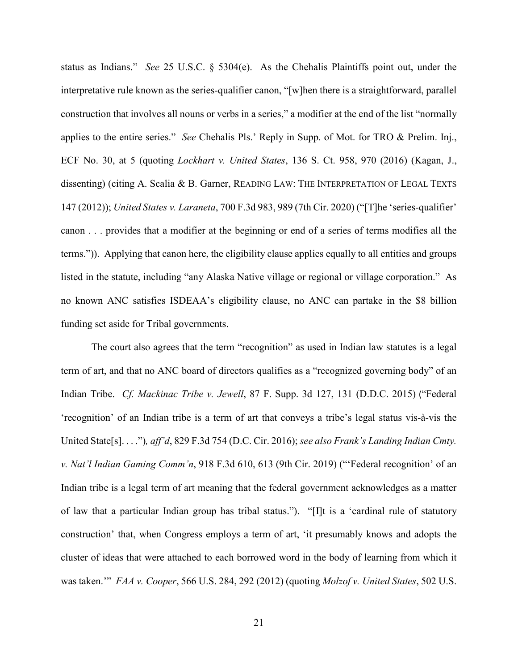status as Indians." *See* 25 U.S.C. § 5304(e). As the Chehalis Plaintiffs point out, under the interpretative rule known as the series-qualifier canon, "[w]hen there is a straightforward, parallel construction that involves all nouns or verbs in a series," a modifier at the end of the list "normally applies to the entire series." *See* Chehalis Pls.' Reply in Supp. of Mot. for TRO & Prelim. Inj., ECF No. 30, at 5 (quoting *Lockhart v. United States*, 136 S. Ct. 958, 970 (2016) (Kagan, J., dissenting) (citing A. Scalia & B. Garner, READING LAW: THE INTERPRETATION OF LEGAL TEXTS 147 (2012)); *United States v. Laraneta*, 700 F.3d 983, 989 (7th Cir. 2020) ("[T]he 'series-qualifier' canon . . . provides that a modifier at the beginning or end of a series of terms modifies all the terms.")). Applying that canon here, the eligibility clause applies equally to all entities and groups listed in the statute, including "any Alaska Native village or regional or village corporation." As no known ANC satisfies ISDEAA's eligibility clause, no ANC can partake in the \$8 billion funding set aside for Tribal governments.

The court also agrees that the term "recognition" as used in Indian law statutes is a legal term of art, and that no ANC board of directors qualifies as a "recognized governing body" of an Indian Tribe. *Cf. Mackinac Tribe v. Jewell*, 87 F. Supp. 3d 127, 131 (D.D.C. 2015) ("Federal 'recognition' of an Indian tribe is a term of art that conveys a tribe's legal status vis-à-vis the United State[s]. . . .")*, aff'd*, 829 F.3d 754 (D.C. Cir. 2016); *see also Frank's Landing Indian Cmty. v. Nat'l Indian Gaming Comm'n*, 918 F.3d 610, 613 (9th Cir. 2019) ("'Federal recognition' of an Indian tribe is a legal term of art meaning that the federal government acknowledges as a matter of law that a particular Indian group has tribal status."). "[I]t is a 'cardinal rule of statutory construction' that, when Congress employs a term of art, 'it presumably knows and adopts the cluster of ideas that were attached to each borrowed word in the body of learning from which it was taken.'" *FAA v. Cooper*, 566 U.S. 284, 292 (2012) (quoting *Molzof v. United States*, 502 U.S.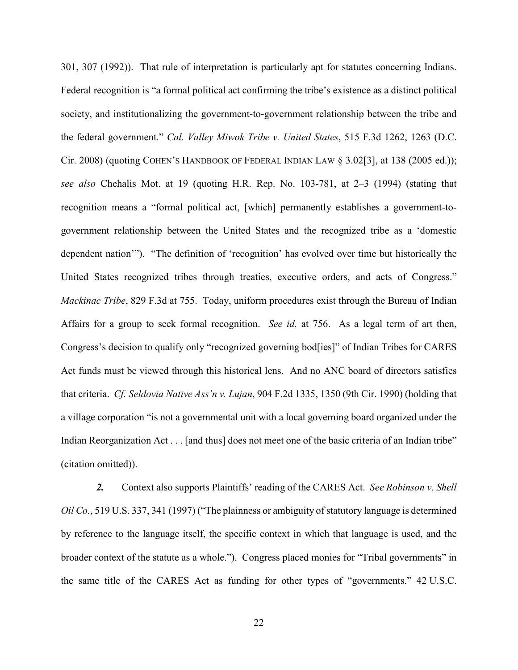301, 307 (1992)). That rule of interpretation is particularly apt for statutes concerning Indians. Federal recognition is "a formal political act confirming the tribe's existence as a distinct political society, and institutionalizing the government-to-government relationship between the tribe and the federal government." *Cal. Valley Miwok Tribe v. United States*, 515 F.3d 1262, 1263 (D.C. Cir. 2008) (quoting COHEN'S HANDBOOK OF FEDERAL INDIAN LAW  $\S$  3.02[3], at 138 (2005 ed.)); *see also* Chehalis Mot. at 19 (quoting H.R. Rep. No. 103-781, at 2–3 (1994) (stating that recognition means a "formal political act, [which] permanently establishes a government-togovernment relationship between the United States and the recognized tribe as a 'domestic dependent nation'"). "The definition of 'recognition' has evolved over time but historically the United States recognized tribes through treaties, executive orders, and acts of Congress." *Mackinac Tribe*, 829 F.3d at 755. Today, uniform procedures exist through the Bureau of Indian Affairs for a group to seek formal recognition. *See id.* at 756. As a legal term of art then, Congress's decision to qualify only "recognized governing bod[ies]" of Indian Tribes for CARES Act funds must be viewed through this historical lens. And no ANC board of directors satisfies that criteria. *Cf. Seldovia Native Ass'n v. Lujan*, 904 F.2d 1335, 1350 (9th Cir. 1990) (holding that a village corporation "is not a governmental unit with a local governing board organized under the Indian Reorganization Act . . . [and thus] does not meet one of the basic criteria of an Indian tribe" (citation omitted)).

 *2.* Context also supports Plaintiffs' reading of the CARES Act. *See Robinson v. Shell Oil Co.*, 519 U.S. 337, 341 (1997) ("The plainness or ambiguity of statutory language is determined by reference to the language itself, the specific context in which that language is used, and the broader context of the statute as a whole."). Congress placed monies for "Tribal governments" in the same title of the CARES Act as funding for other types of "governments." 42 U.S.C.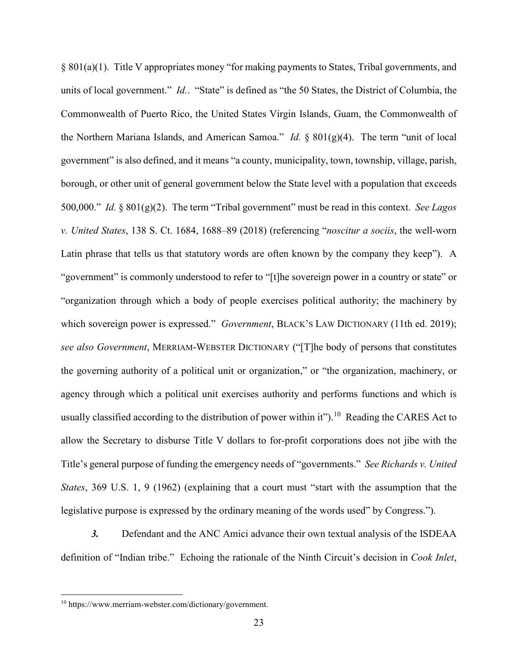§ 801(a)(1). Title V appropriates money "for making payments to States, Tribal governments, and units of local government." *Id.*. "State" is defined as "the 50 States, the District of Columbia, the Commonwealth of Puerto Rico, the United States Virgin Islands, Guam, the Commonwealth of the Northern Mariana Islands, and American Samoa." *Id.* § 801(g)(4). The term "unit of local government" is also defined, and it means "a county, municipality, town, township, village, parish, borough, or other unit of general government below the State level with a population that exceeds 500,000." *Id.* § 801(g)(2). The term "Tribal government" must be read in this context. *See Lagos v. United States*, 138 S. Ct. 1684, 1688–89 (2018) (referencing "*noscitur a sociis*, the well-worn Latin phrase that tells us that statutory words are often known by the company they keep"). A "government" is commonly understood to refer to "[t]he sovereign power in a country or state" or "organization through which a body of people exercises political authority; the machinery by which sovereign power is expressed." *Government*, BLACK'S LAW DICTIONARY (11th ed. 2019); *see also Government*, MERRIAM-WEBSTER DICTIONARY ("[T]he body of persons that constitutes the governing authority of a political unit or organization," or "the organization, machinery, or agency through which a political unit exercises authority and performs functions and which is usually classified according to the distribution of power within it").<sup>10</sup> Reading the CARES Act to allow the Secretary to disburse Title V dollars to for-profit corporations does not jibe with the Title's general purpose of funding the emergency needs of "governments." *See Richards v. United States*, 369 U.S. 1, 9 (1962) (explaining that a court must "start with the assumption that the legislative purpose is expressed by the ordinary meaning of the words used" by Congress.").

*3.* Defendant and the ANC Amici advance their own textual analysis of the ISDEAA definition of "Indian tribe." Echoing the rationale of the Ninth Circuit's decision in *Cook Inlet*,

<sup>10</sup> https://www.merriam-webster.com/dictionary/government.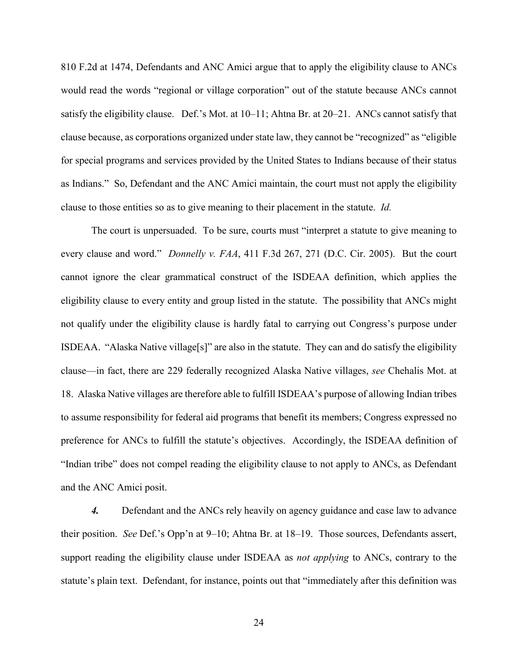810 F.2d at 1474, Defendants and ANC Amici argue that to apply the eligibility clause to ANCs would read the words "regional or village corporation" out of the statute because ANCs cannot satisfy the eligibility clause. Def.'s Mot. at 10–11; Ahtna Br. at 20–21. ANCs cannot satisfy that clause because, as corporations organized under state law, they cannot be "recognized" as "eligible for special programs and services provided by the United States to Indians because of their status as Indians." So, Defendant and the ANC Amici maintain, the court must not apply the eligibility clause to those entities so as to give meaning to their placement in the statute. *Id.* 

The court is unpersuaded. To be sure, courts must "interpret a statute to give meaning to every clause and word." *Donnelly v. FAA*, 411 F.3d 267, 271 (D.C. Cir. 2005). But the court cannot ignore the clear grammatical construct of the ISDEAA definition, which applies the eligibility clause to every entity and group listed in the statute. The possibility that ANCs might not qualify under the eligibility clause is hardly fatal to carrying out Congress's purpose under ISDEAA. "Alaska Native village[s]" are also in the statute. They can and do satisfy the eligibility clause—in fact, there are 229 federally recognized Alaska Native villages, *see* Chehalis Mot. at 18. Alaska Native villages are therefore able to fulfill ISDEAA's purpose of allowing Indian tribes to assume responsibility for federal aid programs that benefit its members; Congress expressed no preference for ANCs to fulfill the statute's objectives. Accordingly, the ISDEAA definition of "Indian tribe" does not compel reading the eligibility clause to not apply to ANCs, as Defendant and the ANC Amici posit.

*4.* Defendant and the ANCs rely heavily on agency guidance and case law to advance their position. *See* Def.'s Opp'n at 9–10; Ahtna Br. at 18–19. Those sources, Defendants assert, support reading the eligibility clause under ISDEAA as *not applying* to ANCs, contrary to the statute's plain text. Defendant, for instance, points out that "immediately after this definition was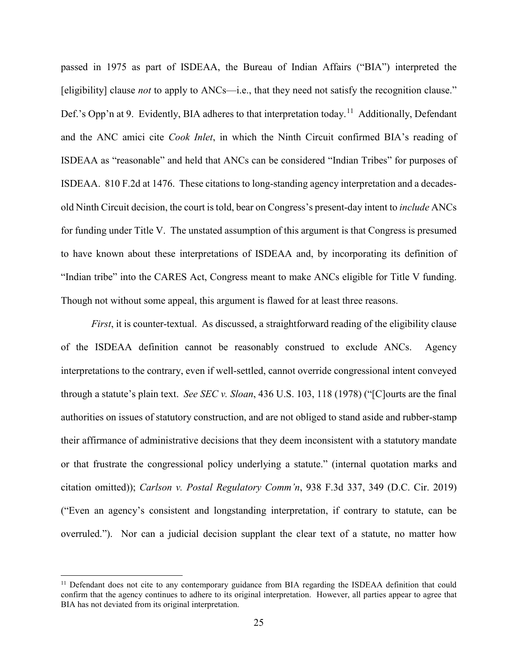passed in 1975 as part of ISDEAA, the Bureau of Indian Affairs ("BIA") interpreted the [eligibility] clause *not* to apply to ANCs—i.e., that they need not satisfy the recognition clause." Def.'s Opp'n at 9. Evidently, BIA adheres to that interpretation today.<sup>11</sup> Additionally, Defendant and the ANC amici cite *Cook Inlet*, in which the Ninth Circuit confirmed BIA's reading of ISDEAA as "reasonable" and held that ANCs can be considered "Indian Tribes" for purposes of ISDEAA. 810 F.2d at 1476. These citations to long-standing agency interpretation and a decadesold Ninth Circuit decision, the court is told, bear on Congress's present-day intent to *include* ANCs for funding under Title V. The unstated assumption of this argument is that Congress is presumed to have known about these interpretations of ISDEAA and, by incorporating its definition of "Indian tribe" into the CARES Act, Congress meant to make ANCs eligible for Title V funding. Though not without some appeal, this argument is flawed for at least three reasons.

*First*, it is counter-textual. As discussed, a straightforward reading of the eligibility clause of the ISDEAA definition cannot be reasonably construed to exclude ANCs. Agency interpretations to the contrary, even if well-settled, cannot override congressional intent conveyed through a statute's plain text. *See SEC v. Sloan*, 436 U.S. 103, 118 (1978) ("[C]ourts are the final authorities on issues of statutory construction, and are not obliged to stand aside and rubber-stamp their affirmance of administrative decisions that they deem inconsistent with a statutory mandate or that frustrate the congressional policy underlying a statute." (internal quotation marks and citation omitted)); *Carlson v. Postal Regulatory Comm'n*, 938 F.3d 337, 349 (D.C. Cir. 2019) ("Even an agency's consistent and longstanding interpretation, if contrary to statute, can be overruled."). Nor can a judicial decision supplant the clear text of a statute, no matter how

<sup>&</sup>lt;sup>11</sup> Defendant does not cite to any contemporary guidance from BIA regarding the ISDEAA definition that could confirm that the agency continues to adhere to its original interpretation. However, all parties appear to agree that BIA has not deviated from its original interpretation.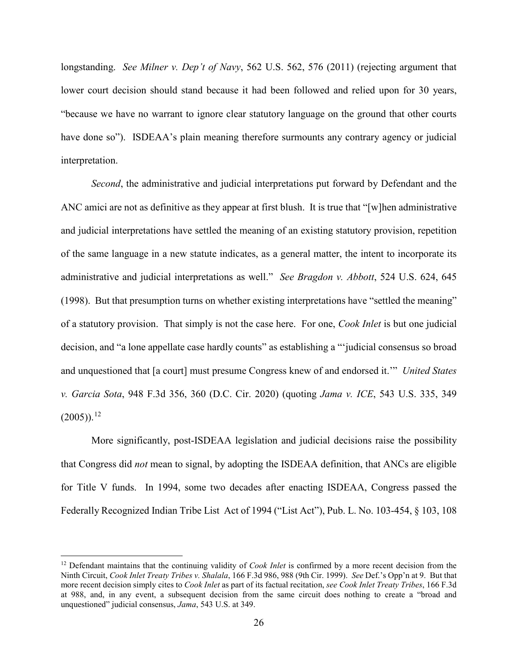longstanding. *See Milner v. Dep't of Navy*, 562 U.S. 562, 576 (2011) (rejecting argument that lower court decision should stand because it had been followed and relied upon for 30 years, "because we have no warrant to ignore clear statutory language on the ground that other courts have done so"). ISDEAA's plain meaning therefore surmounts any contrary agency or judicial interpretation.

*Second*, the administrative and judicial interpretations put forward by Defendant and the ANC amici are not as definitive as they appear at first blush. It is true that "[w]hen administrative and judicial interpretations have settled the meaning of an existing statutory provision, repetition of the same language in a new statute indicates, as a general matter, the intent to incorporate its administrative and judicial interpretations as well." *See Bragdon v. Abbott*, 524 U.S. 624, 645 (1998). But that presumption turns on whether existing interpretations have "settled the meaning" of a statutory provision. That simply is not the case here. For one, *Cook Inlet* is but one judicial decision, and "a lone appellate case hardly counts" as establishing a "'judicial consensus so broad and unquestioned that [a court] must presume Congress knew of and endorsed it.'" *United States v. Garcia Sota*, 948 F.3d 356, 360 (D.C. Cir. 2020) (quoting *Jama v. ICE*, 543 U.S. 335, 349  $(2005)$ ).<sup>12</sup>

More significantly, post-ISDEAA legislation and judicial decisions raise the possibility that Congress did *not* mean to signal, by adopting the ISDEAA definition, that ANCs are eligible for Title V funds. In 1994, some two decades after enacting ISDEAA, Congress passed the Federally Recognized Indian Tribe List Act of 1994 ("List Act"), Pub. L. No. 103-454, § 103, 108

 $\overline{\phantom{a}}$ 

<sup>&</sup>lt;sup>12</sup> Defendant maintains that the continuing validity of *Cook Inlet* is confirmed by a more recent decision from the Ninth Circuit, *Cook Inlet Treaty Tribes v. Shalala*, 166 F.3d 986, 988 (9th Cir. 1999). *See* Def.'s Opp'n at 9. But that more recent decision simply cites to *Cook Inlet* as part of its factual recitation, *see Cook Inlet Treaty Tribes*, 166 F.3d at 988, and, in any event, a subsequent decision from the same circuit does nothing to create a "broad and unquestioned" judicial consensus, *Jama*, 543 U.S. at 349.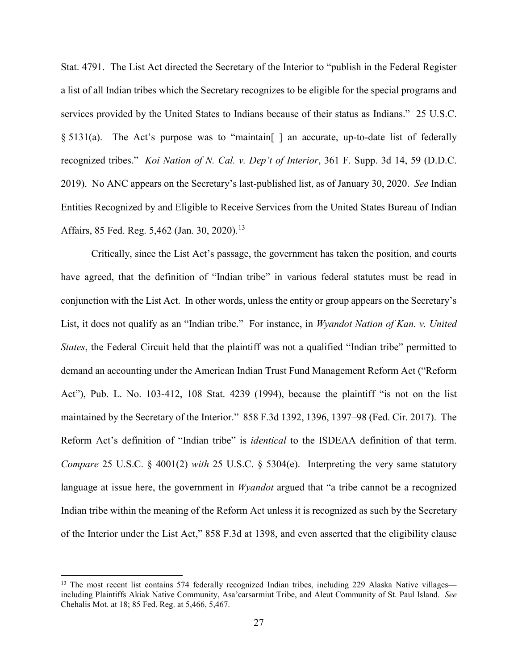Stat. 4791. The List Act directed the Secretary of the Interior to "publish in the Federal Register a list of all Indian tribes which the Secretary recognizes to be eligible for the special programs and services provided by the United States to Indians because of their status as Indians." 25 U.S.C. § 5131(a). The Act's purpose was to "maintain | an accurate, up-to-date list of federally recognized tribes." *Koi Nation of N. Cal. v. Dep't of Interior*, 361 F. Supp. 3d 14, 59 (D.D.C. 2019). No ANC appears on the Secretary's last-published list, as of January 30, 2020. *See* Indian Entities Recognized by and Eligible to Receive Services from the United States Bureau of Indian Affairs, 85 Fed. Reg. 5,462 (Jan. 30, 2020).<sup>13</sup>

Critically, since the List Act's passage, the government has taken the position, and courts have agreed, that the definition of "Indian tribe" in various federal statutes must be read in conjunction with the List Act. In other words, unless the entity or group appears on the Secretary's List, it does not qualify as an "Indian tribe." For instance, in *Wyandot Nation of Kan. v. United States*, the Federal Circuit held that the plaintiff was not a qualified "Indian tribe" permitted to demand an accounting under the American Indian Trust Fund Management Reform Act ("Reform Act"), Pub. L. No. 103-412, 108 Stat. 4239 (1994), because the plaintiff "is not on the list maintained by the Secretary of the Interior." 858 F.3d 1392, 1396, 1397–98 (Fed. Cir. 2017). The Reform Act's definition of "Indian tribe" is *identical* to the ISDEAA definition of that term. *Compare* 25 U.S.C. § 4001(2) *with* 25 U.S.C. § 5304(e). Interpreting the very same statutory language at issue here, the government in *Wyandot* argued that "a tribe cannot be a recognized Indian tribe within the meaning of the Reform Act unless it is recognized as such by the Secretary of the Interior under the List Act," 858 F.3d at 1398, and even asserted that the eligibility clause

<sup>&</sup>lt;sup>13</sup> The most recent list contains 574 federally recognized Indian tribes, including 229 Alaska Native villages including Plaintiffs Akiak Native Community, Asa'carsarmiut Tribe, and Aleut Community of St. Paul Island. *See*  Chehalis Mot. at 18; 85 Fed. Reg. at 5,466, 5,467.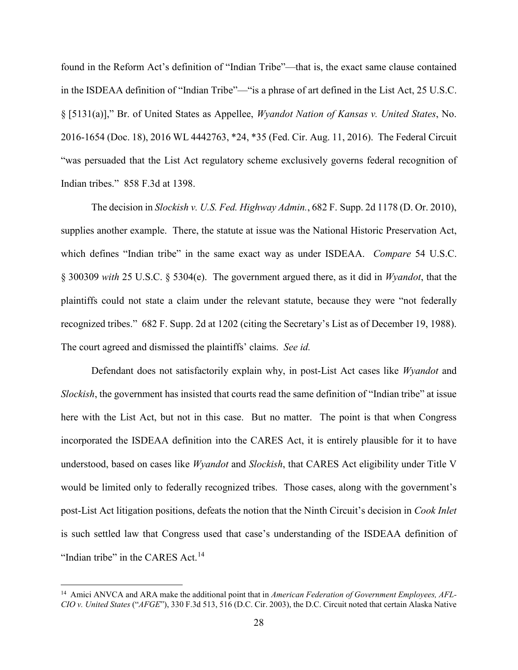found in the Reform Act's definition of "Indian Tribe"—that is, the exact same clause contained in the ISDEAA definition of "Indian Tribe"—"is a phrase of art defined in the List Act, 25 U.S.C. § [5131(a)]," Br. of United States as Appellee, *Wyandot Nation of Kansas v. United States*, No. 2016-1654 (Doc. 18), 2016 WL 4442763, \*24, \*35 (Fed. Cir. Aug. 11, 2016). The Federal Circuit "was persuaded that the List Act regulatory scheme exclusively governs federal recognition of Indian tribes." 858 F.3d at 1398.

The decision in *Slockish v. U.S. Fed. Highway Admin.*, 682 F. Supp. 2d 1178 (D. Or. 2010), supplies another example. There, the statute at issue was the National Historic Preservation Act, which defines "Indian tribe" in the same exact way as under ISDEAA. *Compare* 54 U.S.C. § 300309 *with* 25 U.S.C. § 5304(e). The government argued there, as it did in *Wyandot*, that the plaintiffs could not state a claim under the relevant statute, because they were "not federally recognized tribes." 682 F. Supp. 2d at 1202 (citing the Secretary's List as of December 19, 1988). The court agreed and dismissed the plaintiffs' claims. *See id.*

Defendant does not satisfactorily explain why, in post-List Act cases like *Wyandot* and *Slockish*, the government has insisted that courts read the same definition of "Indian tribe" at issue here with the List Act, but not in this case. But no matter. The point is that when Congress incorporated the ISDEAA definition into the CARES Act, it is entirely plausible for it to have understood, based on cases like *Wyandot* and *Slockish*, that CARES Act eligibility under Title V would be limited only to federally recognized tribes. Those cases, along with the government's post-List Act litigation positions, defeats the notion that the Ninth Circuit's decision in *Cook Inlet*  is such settled law that Congress used that case's understanding of the ISDEAA definition of "Indian tribe" in the CARES Act.<sup>14</sup>

<sup>&</sup>lt;sup>14</sup> Amici ANVCA and ARA make the additional point that in *American Federation of Government Employees, AFL*-*CIO v. United States* ("*AFGE*"), 330 F.3d 513, 516 (D.C. Cir. 2003), the D.C. Circuit noted that certain Alaska Native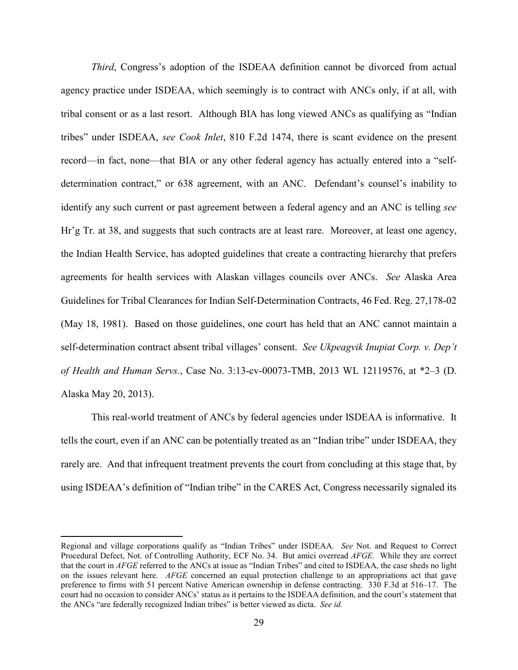*Third*, Congress's adoption of the ISDEAA definition cannot be divorced from actual agency practice under ISDEAA, which seemingly is to contract with ANCs only, if at all, with tribal consent or as a last resort. Although BIA has long viewed ANCs as qualifying as "Indian tribes" under ISDEAA, *see Cook Inlet*, 810 F.2d 1474, there is scant evidence on the present record—in fact, none—that BIA or any other federal agency has actually entered into a "selfdetermination contract," or 638 agreement, with an ANC. Defendant's counsel's inability to identify any such current or past agreement between a federal agency and an ANC is telling *see*  Hr'g Tr. at 38, and suggests that such contracts are at least rare. Moreover, at least one agency, the Indian Health Service, has adopted guidelines that create a contracting hierarchy that prefers agreements for health services with Alaskan villages councils over ANCs. *See* Alaska Area Guidelines for Tribal Clearances for Indian Self-Determination Contracts, 46 Fed. Reg. 27,178-02 (May 18, 1981). Based on those guidelines, one court has held that an ANC cannot maintain a self-determination contract absent tribal villages' consent. *See Ukpeagvik Inupiat Corp. v. Dep't of Health and Human Servs.*, Case No. 3:13-cv-00073-TMB, 2013 WL 12119576, at \*2–3 (D. Alaska May 20, 2013).

This real-world treatment of ANCs by federal agencies under ISDEAA is informative. It tells the court, even if an ANC can be potentially treated as an "Indian tribe" under ISDEAA, they rarely are. And that infrequent treatment prevents the court from concluding at this stage that, by using ISDEAA's definition of "Indian tribe" in the CARES Act, Congress necessarily signaled its

Regional and village corporations qualify as "Indian Tribes" under ISDEAA. *See* Not. and Request to Correct Procedural Defect, Not. of Controlling Authority, ECF No. 34. But amici overread *AFGE.* While they are correct that the court in *AFGE* referred to the ANCs at issue as "Indian Tribes" and cited to ISDEAA, the case sheds no light on the issues relevant here. *AFGE* concerned an equal protection challenge to an appropriations act that gave preference to firms with 51 percent Native American ownership in defense contracting. 330 F.3d at 516–17. The court had no occasion to consider ANCs' status as it pertains to the ISDEAA definition, and the court's statement that the ANCs "are federally recognized Indian tribes" is better viewed as dicta. *See id.*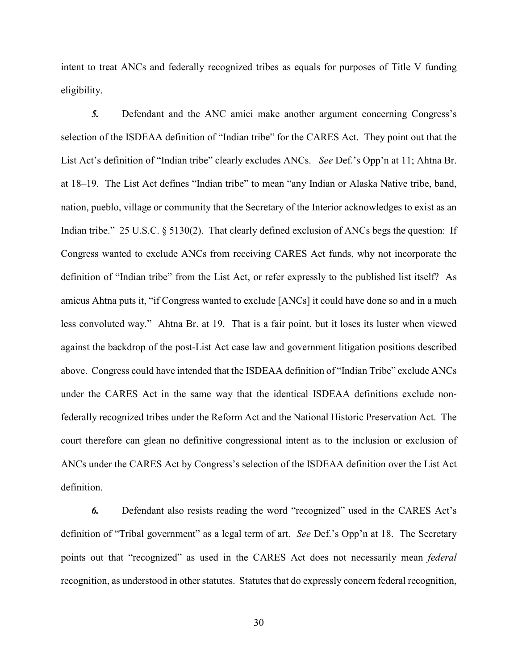intent to treat ANCs and federally recognized tribes as equals for purposes of Title V funding eligibility.

*5.* Defendant and the ANC amici make another argument concerning Congress's selection of the ISDEAA definition of "Indian tribe" for the CARES Act. They point out that the List Act's definition of "Indian tribe" clearly excludes ANCs. *See* Def.'s Opp'n at 11; Ahtna Br. at 18–19. The List Act defines "Indian tribe" to mean "any Indian or Alaska Native tribe, band, nation, pueblo, village or community that the Secretary of the Interior acknowledges to exist as an Indian tribe." 25 U.S.C. § 5130(2). That clearly defined exclusion of ANCs begs the question: If Congress wanted to exclude ANCs from receiving CARES Act funds, why not incorporate the definition of "Indian tribe" from the List Act, or refer expressly to the published list itself? As amicus Ahtna puts it, "if Congress wanted to exclude [ANCs] it could have done so and in a much less convoluted way." Ahtna Br. at 19. That is a fair point, but it loses its luster when viewed against the backdrop of the post-List Act case law and government litigation positions described above. Congress could have intended that the ISDEAA definition of "Indian Tribe" exclude ANCs under the CARES Act in the same way that the identical ISDEAA definitions exclude nonfederally recognized tribes under the Reform Act and the National Historic Preservation Act. The court therefore can glean no definitive congressional intent as to the inclusion or exclusion of ANCs under the CARES Act by Congress's selection of the ISDEAA definition over the List Act definition.

*6.* Defendant also resists reading the word "recognized" used in the CARES Act's definition of "Tribal government" as a legal term of art. *See* Def.'s Opp'n at 18. The Secretary points out that "recognized" as used in the CARES Act does not necessarily mean *federal*  recognition, as understood in other statutes. Statutes that do expressly concern federal recognition,

30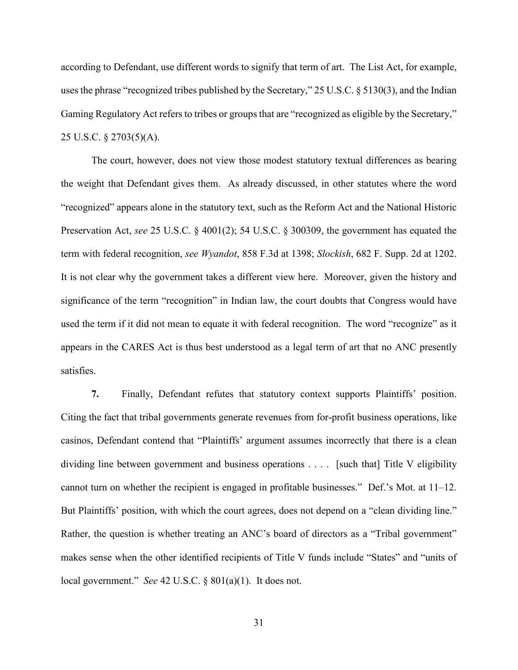according to Defendant, use different words to signify that term of art. The List Act, for example, uses the phrase "recognized tribes published by the Secretary," 25 U.S.C. § 5130(3), and the Indian Gaming Regulatory Act refers to tribes or groups that are "recognized as eligible by the Secretary," 25 U.S.C. § 2703(5)(A).

The court, however, does not view those modest statutory textual differences as bearing the weight that Defendant gives them. As already discussed, in other statutes where the word "recognized" appears alone in the statutory text, such as the Reform Act and the National Historic Preservation Act, *see* 25 U.S.C. § 4001(2); 54 U.S.C. § 300309, the government has equated the term with federal recognition, *see Wyandot*, 858 F.3d at 1398; *Slockish*, 682 F. Supp. 2d at 1202. It is not clear why the government takes a different view here. Moreover, given the history and significance of the term "recognition" in Indian law, the court doubts that Congress would have used the term if it did not mean to equate it with federal recognition. The word "recognize" as it appears in the CARES Act is thus best understood as a legal term of art that no ANC presently satisfies.

**7.** Finally, Defendant refutes that statutory context supports Plaintiffs' position. Citing the fact that tribal governments generate revenues from for-profit business operations, like casinos, Defendant contend that "Plaintiffs' argument assumes incorrectly that there is a clean dividing line between government and business operations . . . . [such that] Title V eligibility cannot turn on whether the recipient is engaged in profitable businesses." Def.'s Mot. at 11–12. But Plaintiffs' position, with which the court agrees, does not depend on a "clean dividing line." Rather, the question is whether treating an ANC's board of directors as a "Tribal government" makes sense when the other identified recipients of Title V funds include "States" and "units of local government." *See* 42 U.S.C. § 801(a)(1). It does not.

31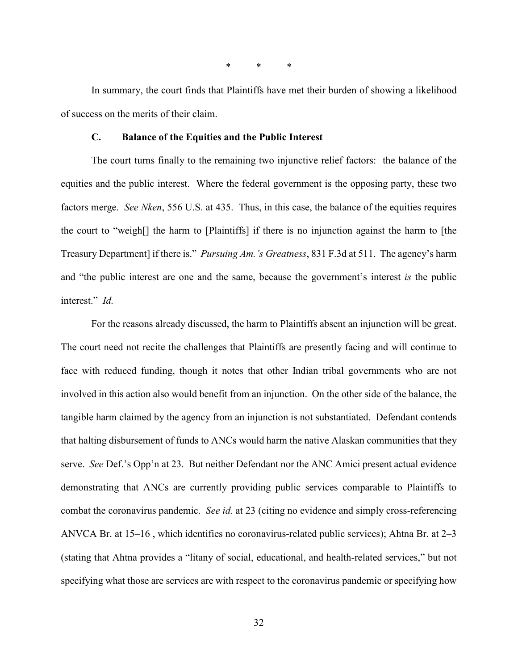\* \* \*

In summary, the court finds that Plaintiffs have met their burden of showing a likelihood of success on the merits of their claim.

#### **C. Balance of the Equities and the Public Interest**

The court turns finally to the remaining two injunctive relief factors: the balance of the equities and the public interest. Where the federal government is the opposing party, these two factors merge. *See Nken*, 556 U.S. at 435. Thus, in this case, the balance of the equities requires the court to "weigh[] the harm to [Plaintiffs] if there is no injunction against the harm to [the Treasury Department] if there is." *Pursuing Am.'s Greatness*, 831 F.3d at 511. The agency's harm and "the public interest are one and the same, because the government's interest *is* the public interest." *Id.* 

For the reasons already discussed, the harm to Plaintiffs absent an injunction will be great. The court need not recite the challenges that Plaintiffs are presently facing and will continue to face with reduced funding, though it notes that other Indian tribal governments who are not involved in this action also would benefit from an injunction. On the other side of the balance, the tangible harm claimed by the agency from an injunction is not substantiated. Defendant contends that halting disbursement of funds to ANCs would harm the native Alaskan communities that they serve. *See* Def.'s Opp'n at 23. But neither Defendant nor the ANC Amici present actual evidence demonstrating that ANCs are currently providing public services comparable to Plaintiffs to combat the coronavirus pandemic. *See id.* at 23 (citing no evidence and simply cross-referencing ANVCA Br. at 15–16 , which identifies no coronavirus-related public services); Ahtna Br. at 2–3 (stating that Ahtna provides a "litany of social, educational, and health-related services," but not specifying what those are services are with respect to the coronavirus pandemic or specifying how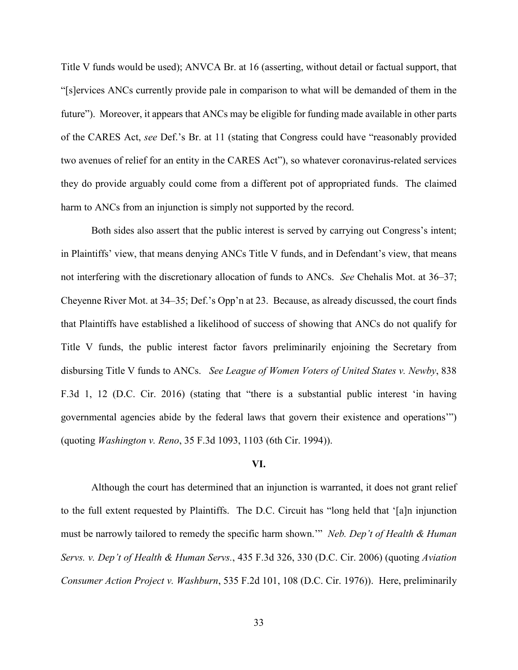Title V funds would be used); ANVCA Br. at 16 (asserting, without detail or factual support, that "[s]ervices ANCs currently provide pale in comparison to what will be demanded of them in the future"). Moreover, it appears that ANCs may be eligible for funding made available in other parts of the CARES Act, *see* Def.'s Br. at 11 (stating that Congress could have "reasonably provided two avenues of relief for an entity in the CARES Act"), so whatever coronavirus-related services they do provide arguably could come from a different pot of appropriated funds. The claimed harm to ANCs from an injunction is simply not supported by the record.

Both sides also assert that the public interest is served by carrying out Congress's intent; in Plaintiffs' view, that means denying ANCs Title V funds, and in Defendant's view, that means not interfering with the discretionary allocation of funds to ANCs. *See* Chehalis Mot. at 36–37; Cheyenne River Mot. at 34–35; Def.'s Opp'n at 23. Because, as already discussed, the court finds that Plaintiffs have established a likelihood of success of showing that ANCs do not qualify for Title V funds, the public interest factor favors preliminarily enjoining the Secretary from disbursing Title V funds to ANCs. *See League of Women Voters of United States v. Newby*, 838 F.3d 1, 12 (D.C. Cir. 2016) (stating that "there is a substantial public interest 'in having governmental agencies abide by the federal laws that govern their existence and operations'") (quoting *Washington v. Reno*, 35 F.3d 1093, 1103 (6th Cir. 1994)).

#### **VI.**

Although the court has determined that an injunction is warranted, it does not grant relief to the full extent requested by Plaintiffs. The D.C. Circuit has "long held that '[a]n injunction must be narrowly tailored to remedy the specific harm shown.'" *Neb. Dep't of Health & Human Servs. v. Dep't of Health & Human Servs.*, 435 F.3d 326, 330 (D.C. Cir. 2006) (quoting *Aviation Consumer Action Project v. Washburn*, 535 F.2d 101, 108 (D.C. Cir. 1976)). Here, preliminarily